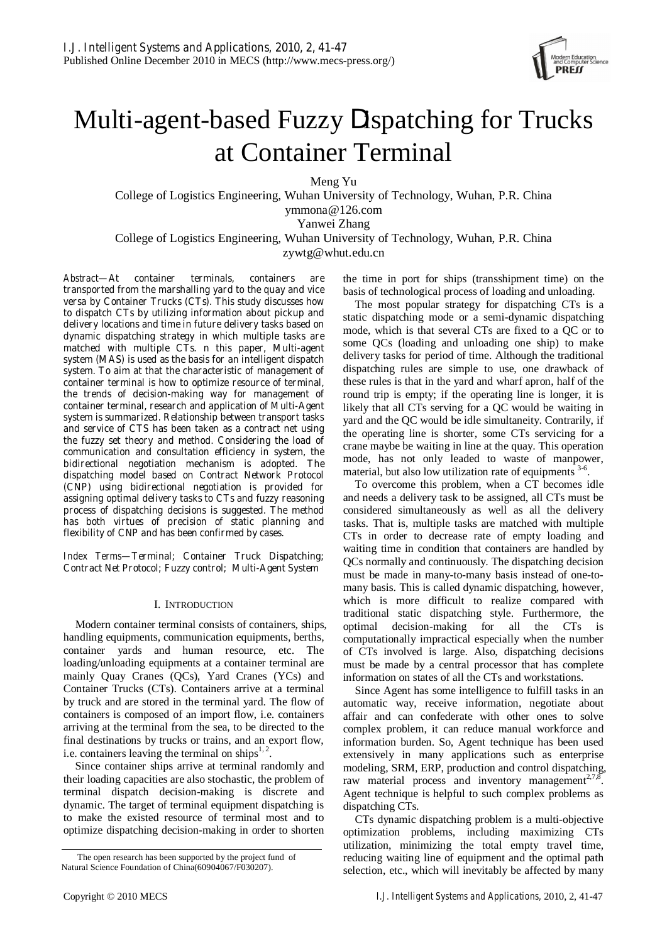

# Multi-agent-based Fuzzy Dispatching for Trucks at Container Terminal

Meng Yu

College of Logistics Engineering, Wuhan University of Technology, Wuhan, P.R. China ymmona@126.com Yanwei Zhang

College of Logistics Engineering, Wuhan University of Technology, Wuhan, P.R. China zywtg@whut.edu.cn

*Abstract***—At container terminals, containers are transported from the marshalling yard to the quay and vice versa by Container Trucks (CTs). This study discusses how to dispatch CTs by utilizing information about pickup and delivery locations and time in future delivery tasks based on dynamic dispatching strategy in which multiple tasks are matched with multiple CTs. n this paper, Multi-agent system (MAS) is used as the basis for an intelligent dispatch system. To aim at that the characteristic of management of container terminal is how to optimize resource of terminal, the trends of decision-making way for management of container terminal, research and application of Multi-Agent system is summarized. Relationship between transport tasks and service of CTS has been taken as a contract net using the fuzzy set theory and method. Considering the load of communication and consultation efficiency in system, the bidirectional negotiation mechanism is adopted. The dispatching model based on Contract Network Protocol (CNP) using bidirectional negotiation is provided for assigning optimal delivery tasks to CTs and fuzzy reasoning process of dispatching decisions is suggested. The method has both virtues of precision of static planning and flexibility of CNP and has been confirmed by cases.** 

*Index Terms***—Terminal; Container Truck Dispatching; Contract Net Protocol; Fuzzy control; Multi-Agent System** 

# I. INTRODUCTION

Modern container terminal consists of containers, ships, handling equipments, communication equipments, berths, container yards and human resource, etc. The loading/unloading equipments at a container terminal are mainly Quay Cranes (QCs), Yard Cranes (YCs) and Container Trucks (CTs). Containers arrive at a terminal by truck and are stored in the terminal yard. The flow of containers is composed of an import flow, i.e. containers arriving at the terminal from the sea, to be directed to the final destinations by trucks or trains, and an export flow, i.e. containers leaving the terminal on ships $^{1, 2}$ .

Since container ships arrive at terminal randomly and their loading capacities are also stochastic, the problem of terminal dispatch decision-making is discrete and dynamic. The target of terminal equipment dispatching is to make the existed resource of terminal most and to optimize dispatching decision-making in order to shorten

the time in port for ships (transshipment time) on the basis of technological process of loading and unloading.

The most popular strategy for dispatching CTs is a static dispatching mode or a semi-dynamic dispatching mode, which is that several CTs are fixed to a QC or to some QCs (loading and unloading one ship) to make delivery tasks for period of time. Although the traditional dispatching rules are simple to use, one drawback of these rules is that in the yard and wharf apron, half of the round trip is empty; if the operating line is longer, it is likely that all CTs serving for a QC would be waiting in yard and the QC would be idle simultaneity. Contrarily, if the operating line is shorter, some CTs servicing for a crane maybe be waiting in line at the quay. This operation mode, has not only leaded to waste of manpower, material, but also low utilization rate of equipments  $3-6$ .

To overcome this problem, when a CT becomes idle and needs a delivery task to be assigned, all CTs must be considered simultaneously as well as all the delivery tasks. That is, multiple tasks are matched with multiple CTs in order to decrease rate of empty loading and waiting time in condition that containers are handled by QCs normally and continuously. The dispatching decision must be made in many-to-many basis instead of one-tomany basis. This is called dynamic dispatching, however, which is more difficult to realize compared with traditional static dispatching style. Furthermore, the optimal decision-making for all the CTs is computationally impractical especially when the number of CTs involved is large. Also, dispatching decisions must be made by a central processor that has complete information on states of all the CTs and workstations.

Since Agent has some intelligence to fulfill tasks in an automatic way, receive information, negotiate about affair and can confederate with other ones to solve complex problem, it can reduce manual workforce and information burden. So, Agent technique has been used extensively in many applications such as enterprise modeling, SRM, ERP, production and control dispatching, raw material process and inventory management<sup>2,7,</sup> Agent technique is helpful to such complex problems as dispatching CTs.

CTs dynamic dispatching problem is a multi-objective optimization problems, including maximizing CTs utilization, minimizing the total empty travel time, reducing waiting line of equipment and the optimal path selection, etc., which will inevitably be affected by many

The open research has been supported by the project fund of Natural Science Foundation of China(60904067/F030207).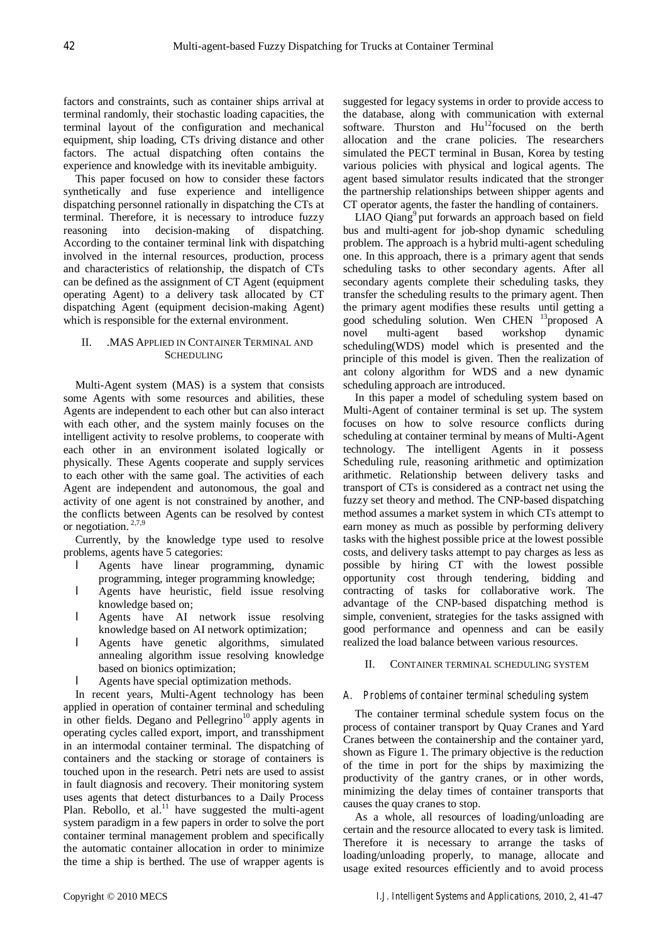factors and constraints, such as container ships arrival at terminal randomly, their stochastic loading capacities, the terminal layout of the configuration and mechanical equipment, ship loading, CTs driving distance and other factors. The actual dispatching often contains the experience and knowledge with its inevitable ambiguity.

This paper focused on how to consider these factors synthetically and fuse experience and intelligence dispatching personnel rationally in dispatching the CTs at terminal. Therefore, it is necessary to introduce fuzzy reasoning into decision-making of dispatching. According to the container terminal link with dispatching involved in the internal resources, production, process and characteristics of relationship, the dispatch of CTs can be defined as the assignment of CT Agent (equipment operating Agent) to a delivery task allocated by CT dispatching Agent (equipment decision-making Agent) which is responsible for the external environment.

# II. .MAS APPLIED IN CONTAINER TERMINAL AND SCHEDULING

Multi-Agent system (MAS) is a system that consists some Agents with some resources and abilities, these Agents are independent to each other but can also interact with each other, and the system mainly focuses on the intelligent activity to resolve problems, to cooperate with each other in an environment isolated logically or physically. These Agents cooperate and supply services to each other with the same goal. The activities of each Agent are independent and autonomous, the goal and activity of one agent is not constrained by another, and the conflicts between Agents can be resolved by contest or negotiation. 2,7,9

Currently, by the knowledge type used to resolve problems, agents have 5 categories:

- Agents have linear programming, dynamic programming, integer programming knowledge;
- l Agents have heuristic, field issue resolving knowledge based on;
- l Agents have AI network issue resolving knowledge based on AI network optimization;
- l Agents have genetic algorithms, simulated annealing algorithm issue resolving knowledge based on bionics optimization;
- l Agents have special optimization methods.

In recent years, Multi-Agent technology has been applied in operation of container terminal and scheduling in other fields. Degano and Pellegrino<sup>10</sup> apply agents in operating cycles called export, import, and transshipment in an intermodal container terminal. The dispatching of containers and the stacking or storage of containers is touched upon in the research. Petri nets are used to assist in fault diagnosis and recovery. Their monitoring system uses agents that detect disturbances to a Daily Process Plan. Rebollo, et al. $^{11}$  have suggested the multi-agent system paradigm in a few papers in order to solve the port container terminal management problem and specifically the automatic container allocation in order to minimize the time a ship is berthed. The use of wrapper agents is

suggested for legacy systems in order to provide access to the database, along with communication with external software. Thurston and  $Hu^{12}$  focused on the berth allocation and the crane policies. The researchers simulated the PECT terminal in Busan, Korea by testing various policies with physical and logical agents. The agent based simulator results indicated that the stronger the partnership relationships between shipper agents and CT operator agents, the faster the handling of containers.

 $LIAO$  Qiang $<sup>9</sup>$ put forwards an approach based on field</sup> bus and multi-agent for job-shop dynamic scheduling problem. The approach is a hybrid multi-agent scheduling one. In this approach, there is a primary agent that sends scheduling tasks to other secondary agents. After all secondary agents complete their scheduling tasks, they transfer the scheduling results to the primary agent. Then the primary agent modifies these results until getting a good scheduling solution. Wen CHEN  $\frac{13}{13}$ proposed A novel multi-agent based workshop dynamic scheduling(WDS) model which is presented and the principle of this model is given. Then the realization of ant colony algorithm for WDS and a new dynamic scheduling approach are introduced.

In this paper a model of scheduling system based on Multi-Agent of container terminal is set up. The system focuses on how to solve resource conflicts during scheduling at container terminal by means of Multi-Agent technology. The intelligent Agents in it possess Scheduling rule, reasoning arithmetic and optimization arithmetic. Relationship between delivery tasks and transport of CTs is considered as a contract net using the fuzzy set theory and method. The CNP-based dispatching method assumes a market system in which CTs attempt to earn money as much as possible by performing delivery tasks with the highest possible price at the lowest possible costs, and delivery tasks attempt to pay charges as less as possible by hiring CT with the lowest possible opportunity cost through tendering, bidding and contracting of tasks for collaborative work. The advantage of the CNP-based dispatching method is simple, convenient, strategies for the tasks assigned with good performance and openness and can be easily realized the load balance between various resources.

# II. CONTAINER TERMINAL SCHEDULING SYSTEM

# *A. Problems of container terminal scheduling system*

The container terminal schedule system focus on the process of container transport by Quay Cranes and Yard Cranes between the containership and the container yard, shown as Figure 1. The primary objective is the reduction of the time in port for the ships by maximizing the productivity of the gantry cranes, or in other words, minimizing the delay times of container transports that causes the quay cranes to stop.

As a whole, all resources of loading/unloading are certain and the resource allocated to every task is limited. Therefore it is necessary to arrange the tasks of loading/unloading properly, to manage, allocate and usage exited resources efficiently and to avoid process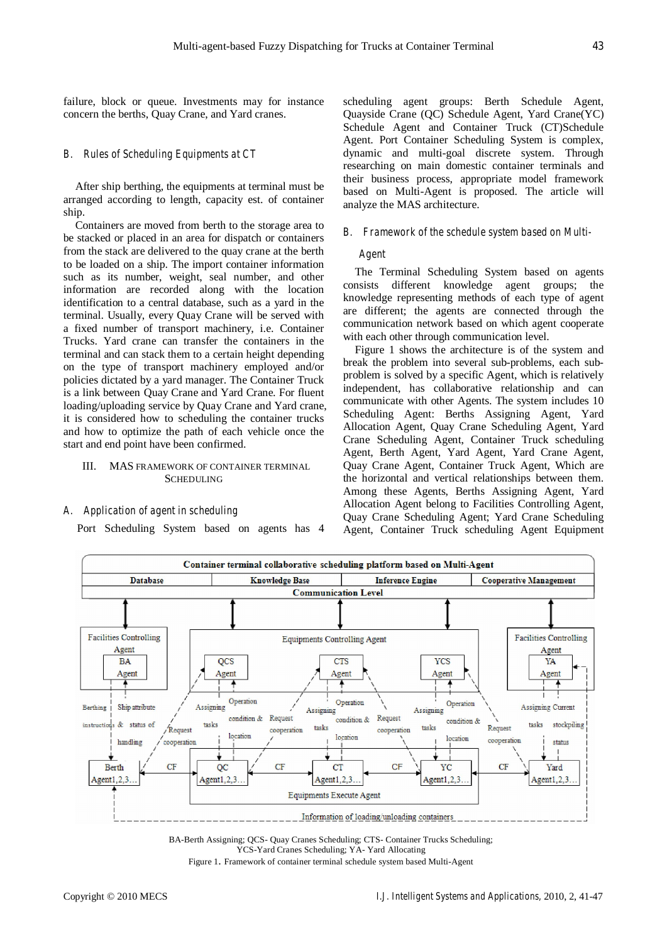failure, block or queue. Investments may for instance concern the berths, Quay Crane, and Yard cranes.

# *B. Rules of Scheduling Equipments at CT*

After ship berthing, the equipments at terminal must be arranged according to length, capacity est. of container ship.

Containers are moved from berth to the storage area to be stacked or placed in an area for dispatch or containers from the stack are delivered to the quay crane at the berth to be loaded on a ship. The import container information such as its number, weight, seal number, and other information are recorded along with the location identification to a central database, such as a yard in the terminal. Usually, every Quay Crane will be served with a fixed number of transport machinery, i.e. Container Trucks. Yard crane can transfer the containers in the terminal and can stack them to a certain height depending on the type of transport machinery employed and/or policies dictated by a yard manager. The Container Truck is a link between Quay Crane and Yard Crane. For fluent loading/uploading service by Quay Crane and Yard crane, it is considered how to scheduling the container trucks and how to optimize the path of each vehicle once the start and end point have been confirmed.

## III. MAS FRAMEWORK OF CONTAINER TERMINAL **SCHEDULING**

#### *A. Application of agent in scheduling*

Port Scheduling System based on agents has 4

scheduling agent groups: Berth Schedule Agent, Quayside Crane (QC) Schedule Agent, Yard Crane(YC) Schedule Agent and Container Truck (CT)Schedule Agent. Port Container Scheduling System is complex, dynamic and multi-goal discrete system. Through researching on main domestic container terminals and their business process, appropriate model framework based on Multi-Agent is proposed. The article will analyze the MAS architecture.

# *B. Framework of the schedule system based on Multi-*

# *Agent*

The Terminal Scheduling System based on agents consists different knowledge agent groups; the knowledge representing methods of each type of agent are different; the agents are connected through the communication network based on which agent cooperate with each other through communication level.

Figure 1 shows the architecture is of the system and break the problem into several sub-problems, each subproblem is solved by a specific Agent, which is relatively independent, has collaborative relationship and can communicate with other Agents. The system includes 10 Scheduling Agent: Berths Assigning Agent, Yard Allocation Agent, Quay Crane Scheduling Agent, Yard Crane Scheduling Agent, Container Truck scheduling Agent, Berth Agent, Yard Agent, Yard Crane Agent, Quay Crane Agent, Container Truck Agent, Which are the horizontal and vertical relationships between them. Among these Agents, Berths Assigning Agent, Yard Allocation Agent belong to Facilities Controlling Agent, Quay Crane Scheduling Agent; Yard Crane Scheduling Agent, Container Truck scheduling Agent Equipment



Figure 1. Framework of container terminal schedule system based Multi-Agent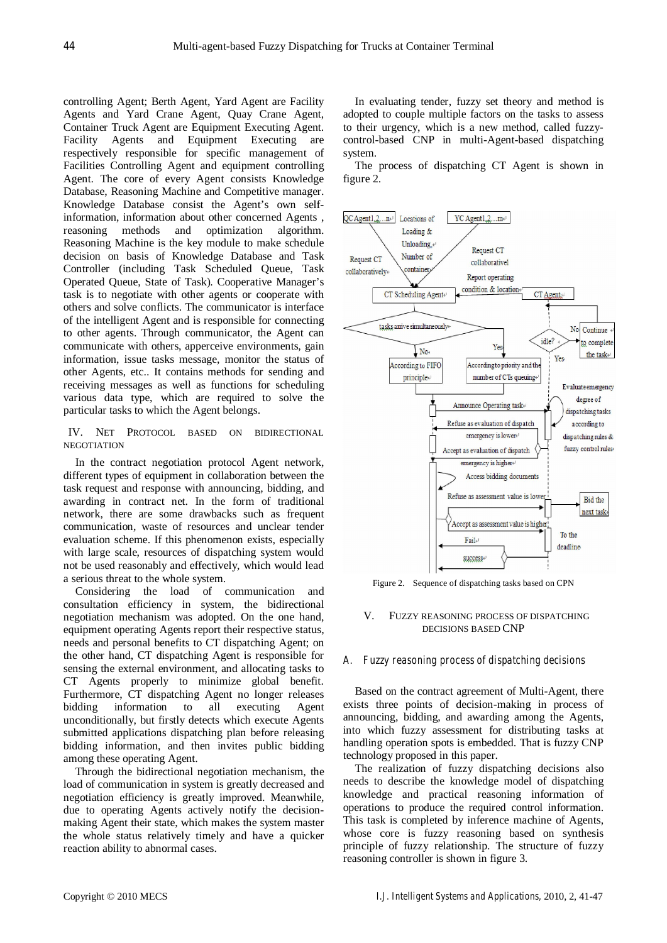controlling Agent; Berth Agent, Yard Agent are Facility Agents and Yard Crane Agent, Quay Crane Agent, Container Truck Agent are Equipment Executing Agent. Facility Agents and Equipment Executing are respectively responsible for specific management of Facilities Controlling Agent and equipment controlling Agent. The core of every Agent consists Knowledge Database, Reasoning Machine and Competitive manager. Knowledge Database consist the Agent's own selfinformation, information about other concerned Agents , reasoning methods and optimization algorithm. Reasoning Machine is the key module to make schedule decision on basis of Knowledge Database and Task Controller (including Task Scheduled Queue, Task Operated Queue, State of Task). Cooperative Manager's task is to negotiate with other agents or cooperate with others and solve conflicts. The communicator is interface of the intelligent Agent and is responsible for connecting to other agents. Through communicator, the Agent can communicate with others, apperceive environments, gain information, issue tasks message, monitor the status of other Agents, etc.. It contains methods for sending and receiving messages as well as functions for scheduling various data type, which are required to solve the particular tasks to which the Agent belongs.

IV. NET PROTOCOL BASED ON BIDIRECTIONAL **NEGOTIATION** 

In the contract negotiation protocol Agent network, different types of equipment in collaboration between the task request and response with announcing, bidding, and awarding in contract net. In the form of traditional network, there are some drawbacks such as frequent communication, waste of resources and unclear tender evaluation scheme. If this phenomenon exists, especially with large scale, resources of dispatching system would not be used reasonably and effectively, which would lead a serious threat to the whole system.

Considering the load of communication and consultation efficiency in system, the bidirectional negotiation mechanism was adopted. On the one hand, equipment operating Agents report their respective status, needs and personal benefits to CT dispatching Agent; on the other hand, CT dispatching Agent is responsible for sensing the external environment, and allocating tasks to CT Agents properly to minimize global benefit. Furthermore, CT dispatching Agent no longer releases bidding information to all executing Agent unconditionally, but firstly detects which execute Agents submitted applications dispatching plan before releasing bidding information, and then invites public bidding among these operating Agent.

Through the bidirectional negotiation mechanism, the load of communication in system is greatly decreased and negotiation efficiency is greatly improved. Meanwhile, due to operating Agents actively notify the decisionmaking Agent their state, which makes the system master the whole status relatively timely and have a quicker reaction ability to abnormal cases.

In evaluating tender, fuzzy set theory and method is adopted to couple multiple factors on the tasks to assess to their urgency, which is a new method, called fuzzycontrol-based CNP in multi-Agent-based dispatching system.

The process of dispatching CT Agent is shown in figure 2.



Figure 2. Sequence of dispatching tasks based on CPN

# V. FUZZY REASONING PROCESS OF DISPATCHING DECISIONS BASED CNP

# *A. Fuzzy reasoning process of dispatching decisions*

Based on the contract agreement of Multi-Agent, there exists three points of decision-making in process of announcing, bidding, and awarding among the Agents, into which fuzzy assessment for distributing tasks at handling operation spots is embedded. That is fuzzy CNP technology proposed in this paper.

The realization of fuzzy dispatching decisions also needs to describe the knowledge model of dispatching knowledge and practical reasoning information of operations to produce the required control information. This task is completed by inference machine of Agents, whose core is fuzzy reasoning based on synthesis principle of fuzzy relationship. The structure of fuzzy reasoning controller is shown in figure 3.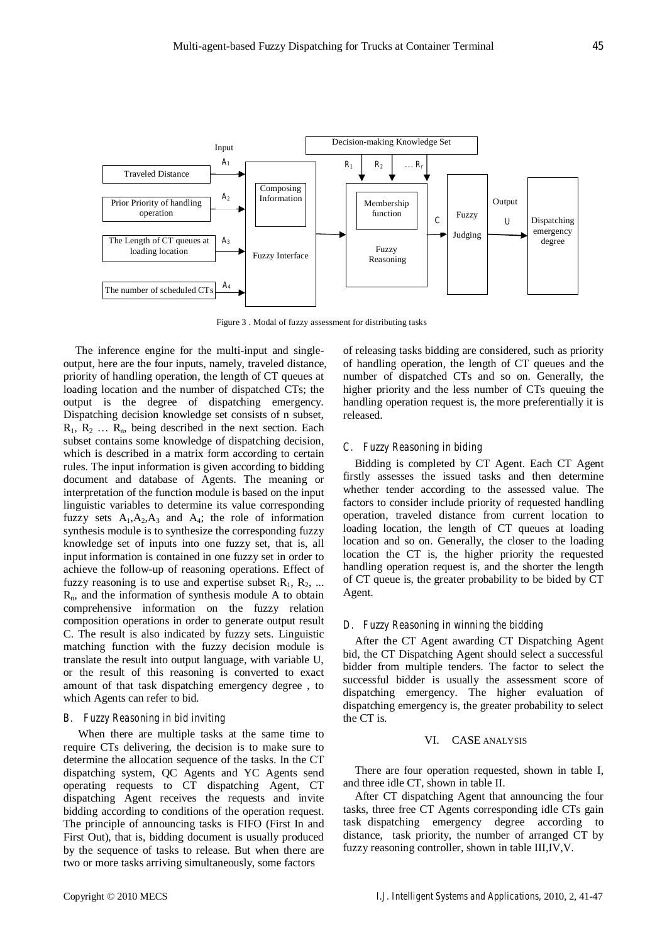

Figure 3 . Modal of fuzzy assessment for distributing tasks

The inference engine for the multi-input and singleoutput, here are the four inputs, namely, traveled distance, priority of handling operation, the length of CT queues at loading location and the number of dispatched CTs; the output is the degree of dispatching emergency. Dispatching decision knowledge set consists of n subset,  $R_1, R_2, \ldots, R_n$ , being described in the next section. Each subset contains some knowledge of dispatching decision, which is described in a matrix form according to certain rules. The input information is given according to bidding document and database of Agents. The meaning or interpretation of the function module is based on the input linguistic variables to determine its value corresponding fuzzy sets  $A_1, A_2, A_3$  and  $A_4$ ; the role of information synthesis module is to synthesize the corresponding fuzzy knowledge set of inputs into one fuzzy set, that is, all input information is contained in one fuzzy set in order to achieve the follow-up of reasoning operations. Effect of fuzzy reasoning is to use and expertise subset  $R_1, R_2, ...$  $R_n$ , and the information of synthesis module A to obtain comprehensive information on the fuzzy relation composition operations in order to generate output result C. The result is also indicated by fuzzy sets. Linguistic matching function with the fuzzy decision module is translate the result into output language, with variable U, or the result of this reasoning is converted to exact amount of that task dispatching emergency degree , to which Agents can refer to bid.

# *B. Fuzzy Reasoning in bid inviting*

 When there are multiple tasks at the same time to require CTs delivering, the decision is to make sure to determine the allocation sequence of the tasks. In the CT dispatching system, QC Agents and YC Agents send operating requests to CT dispatching Agent, CT dispatching Agent receives the requests and invite bidding according to conditions of the operation request. The principle of announcing tasks is FIFO (First In and First Out), that is, bidding document is usually produced by the sequence of tasks to release. But when there are two or more tasks arriving simultaneously, some factors

of releasing tasks bidding are considered, such as priority of handling operation, the length of CT queues and the number of dispatched CTs and so on. Generally, the higher priority and the less number of CTs queuing the handling operation request is, the more preferentially it is released.

# *C. Fuzzy Reasoning in biding*

Bidding is completed by CT Agent. Each CT Agent firstly assesses the issued tasks and then determine whether tender according to the assessed value. The factors to consider include priority of requested handling operation, traveled distance from current location to loading location, the length of CT queues at loading location and so on. Generally, the closer to the loading location the CT is, the higher priority the requested handling operation request is, and the shorter the length of CT queue is, the greater probability to be bided by CT Agent.

#### *D. Fuzzy Reasoning in winning the bidding*

After the CT Agent awarding CT Dispatching Agent bid, the CT Dispatching Agent should select a successful bidder from multiple tenders. The factor to select the successful bidder is usually the assessment score of dispatching emergency. The higher evaluation of dispatching emergency is, the greater probability to select the CT is.

# VI. CASE ANALYSIS

There are four operation requested, shown in table I, and three idle CT, shown in table II.

After CT dispatching Agent that announcing the four tasks, three free CT Agents corresponding idle CTs gain task dispatching emergency degree according to distance, task priority, the number of arranged CT by fuzzy reasoning controller, shown in table III,IV,V.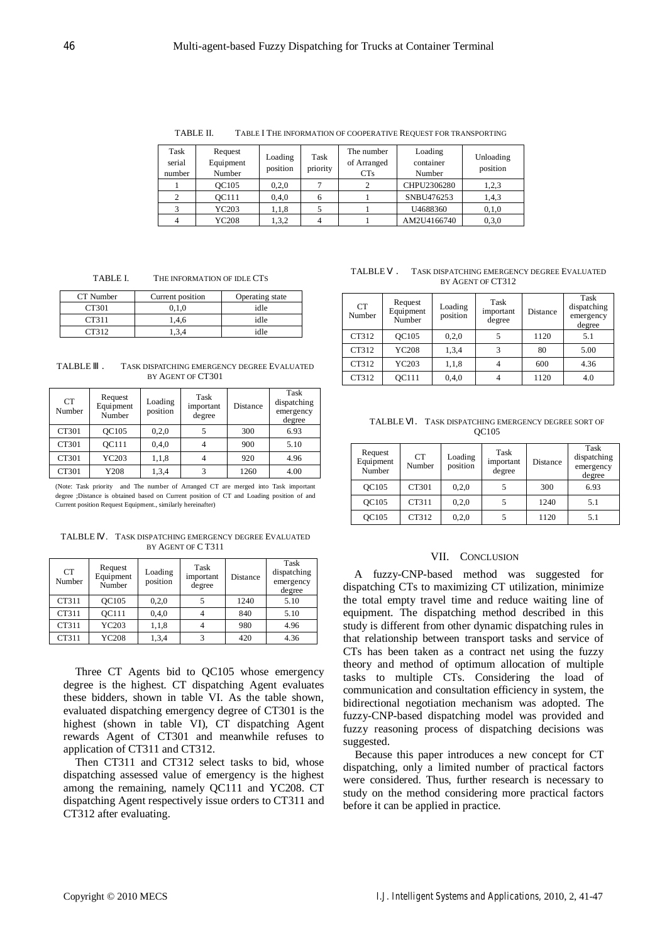| Copyright © 2010 MECS |  |
|-----------------------|--|
|-----------------------|--|

TABLE II. TABLE I THE INFORMATION OF COOPERATIVE REQUEST FOR TRANSPORTING

| Task<br>serial<br>number | Request<br>Equipment<br>Number | Loading<br>position | Task<br>priority | The number<br>of Arranged<br>CTs | Loading<br>container<br>Number | Unloading<br>position |
|--------------------------|--------------------------------|---------------------|------------------|----------------------------------|--------------------------------|-----------------------|
|                          | <b>OC105</b>                   | 0,2,0               |                  | $\overline{2}$                   | CHPU2306280                    | 1,2,3                 |
| $\overline{c}$           | OC111                          | 0.4,0               | 6                |                                  | SNBU476253                     | 1,4,3                 |
| 3                        | YC203                          | 1,1,8               |                  |                                  | U4688360                       | 0,1,0                 |
| 4                        | YC208                          | 1,3,2               |                  |                                  | AM2U4166740                    | 0,3,0                 |

TABLE I. THE INFORMATION OF IDLE CTS

| CT Number | Current position | Operating state |
|-----------|------------------|-----------------|
| CT301     | 0.1.O            | idle            |
| CT311     | 1.4.6            | idle            |
| CT312     |                  | idle            |

TALBLE . TASK DISPATCHING EMERGENCY DEGREE EVALUATED BY AGENT OF CT301

| CT<br>Number | Request<br>Equipment<br>Number | Loading<br>position | Task<br>important<br>degree | Distance | Task<br>dispatching<br>emergency<br>degree |
|--------------|--------------------------------|---------------------|-----------------------------|----------|--------------------------------------------|
| CT301        | <b>OC105</b>                   | 0,2,0               |                             | 300      | 6.93                                       |
| CT301        | <b>OC111</b>                   | 0.4,0               |                             | 900      | 5.10                                       |
| CT301        | YC203                          | 1,1,8               |                             | 920      | 4.96                                       |
| CT301        | Y208                           | 1,3,4               |                             | 1260     | 4.00                                       |

(Note: Task priority and The number of Arranged CT are merged into Task important degree ;Distance is obtained based on Current position of CT and Loading position of and Current position Request Equipment., similarly hereinafter)

TALBLE . TASK DISPATCHING EMERGENCY DEGREE EVALUATED BY AGENT OF C T311

| Request<br>Equipment<br>Number | Loading<br>position | Task<br>important<br>degree | Distance | dispatching<br>emergency<br>degree |
|--------------------------------|---------------------|-----------------------------|----------|------------------------------------|
| <b>OC105</b>                   | 0,2,0               |                             | 1240     | 5.10                               |
| <b>OC111</b>                   | 0,4,0               |                             | 840      | 5.10                               |
| YC203                          | 1,1,8               |                             | 980      | 4.96                               |
| YC208                          | 1,3,4               | 3                           | 420      | 4.36                               |
|                                |                     |                             |          |                                    |

Three CT Agents bid to QC105 whose emergency degree is the highest. CT dispatching Agent evaluates these bidders, shown in table VI. As the table shown, evaluated dispatching emergency degree of CT301 is the highest (shown in table VI), CT dispatching Agent rewards Agent of CT301 and meanwhile refuses to application of CT311 and CT312.

Then CT311 and CT312 select tasks to bid, whose dispatching assessed value of emergency is the highest among the remaining, namely QC111 and YC208. CT dispatching Agent respectively issue orders to CT311 and CT312 after evaluating.

TALBLE . TASK DISPATCHING EMERGENCY DEGREE EVALUATED BY AGENT OF CT312

| <b>CT</b><br>Number | Request<br>Equipment<br>Number | Loading<br>position | Task<br>important<br>degree | Distance | Task<br>dispatching<br>emergency<br>degree |
|---------------------|--------------------------------|---------------------|-----------------------------|----------|--------------------------------------------|
| CT312               | <b>OC105</b>                   | 0,2,0               |                             | 1120     | 5.1                                        |
| CT312               | YC208                          | 1,3,4               | 3                           | 80       | 5.00                                       |
| CT312               | YC203                          | 1,1,8               |                             | 600      | 4.36                                       |
| CT312               | <b>OC111</b>                   | 0.4.0               |                             | 1120     | 4.0                                        |

TALBLE . TASK DISPATCHING EMERGENCY DEGREE SORT OF QC105

| Request<br>Equipment<br>Number | CT.<br>Number | Loading<br>position | Task<br>important<br>degree | Distance | Task<br>dispatching<br>emergency<br>degree |
|--------------------------------|---------------|---------------------|-----------------------------|----------|--------------------------------------------|
| QC105                          | CT301         | 0,2,0               |                             | 300      | 6.93                                       |
| OC105                          | CT311         | 0,2,0               |                             | 1240     | 5.1                                        |
| OC105                          | CT312         | 0,2,0               |                             | 1120     | 5.1                                        |

# VII. CONCLUSION

A fuzzy-CNP-based method was suggested for dispatching CTs to maximizing CT utilization, minimize the total empty travel time and reduce waiting line of equipment. The dispatching method described in this study is different from other dynamic dispatching rules in that relationship between transport tasks and service of CTs has been taken as a contract net using the fuzzy theory and method of optimum allocation of multiple tasks to multiple CTs. Considering the load of communication and consultation efficiency in system, the bidirectional negotiation mechanism was adopted. The fuzzy-CNP-based dispatching model was provided and fuzzy reasoning process of dispatching decisions was suggested.

Because this paper introduces a new concept for CT dispatching, only a limited number of practical factors were considered. Thus, further research is necessary to study on the method considering more practical factors before it can be applied in practice.